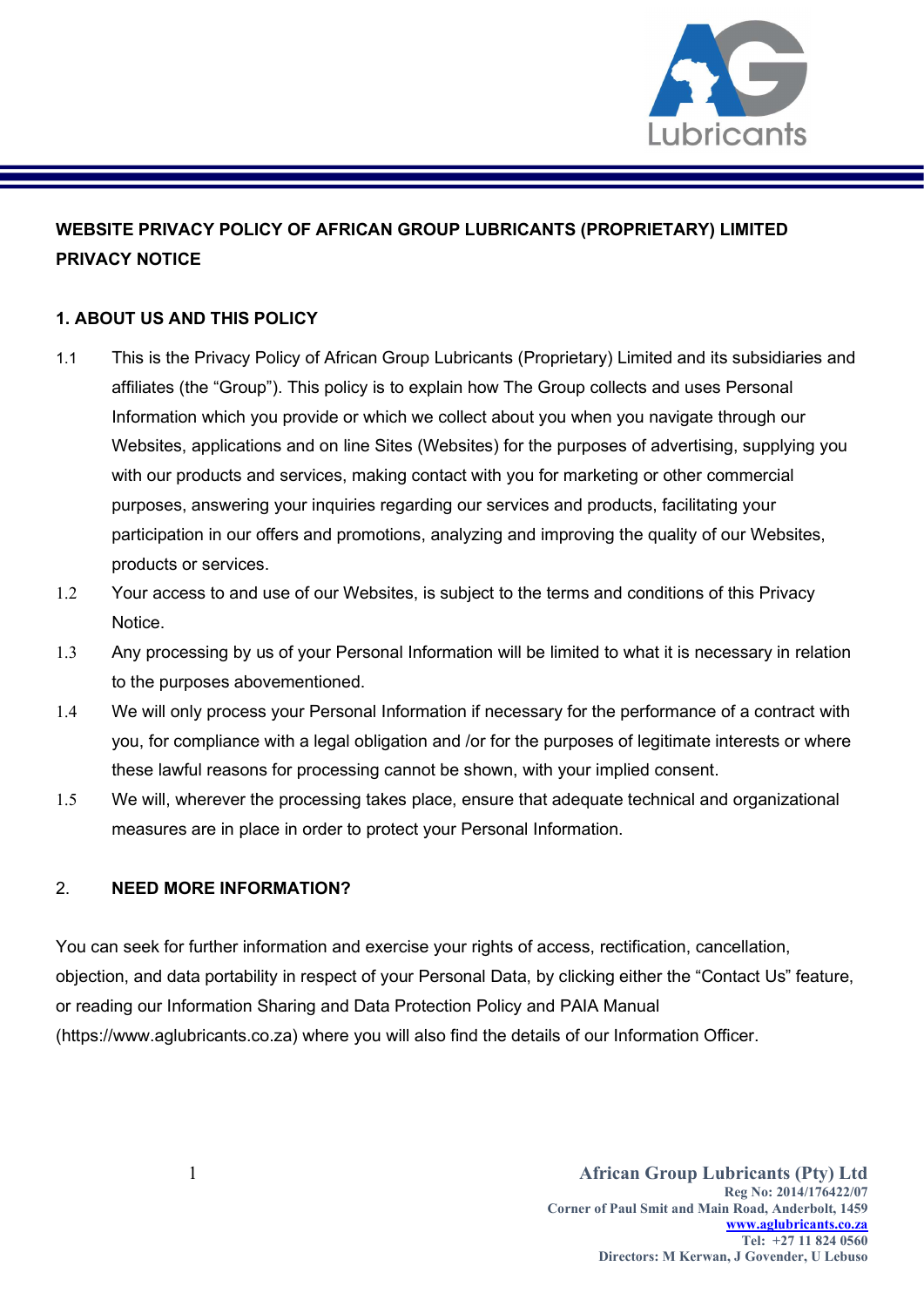

## WEBSITE PRIVACY POLICY OF AFRICAN GROUP LUBRICANTS (PROPRIETARY) LIMITED PRIVACY NOTICE

## 1. ABOUT US AND THIS POLICY

- 1.1 This is the Privacy Policy of African Group Lubricants (Proprietary) Limited and its subsidiaries and affiliates (the "Group"). This policy is to explain how The Group collects and uses Personal Information which you provide or which we collect about you when you navigate through our Websites, applications and on line Sites (Websites) for the purposes of advertising, supplying you with our products and services, making contact with you for marketing or other commercial purposes, answering your inquiries regarding our services and products, facilitating your participation in our offers and promotions, analyzing and improving the quality of our Websites, products or services.
- 1.2 Your access to and use of our Websites, is subject to the terms and conditions of this Privacy **Notice**
- 1.3 Any processing by us of your Personal Information will be limited to what it is necessary in relation to the purposes abovementioned.
- 1.4 We will only process your Personal Information if necessary for the performance of a contract with you, for compliance with a legal obligation and /or for the purposes of legitimate interests or where these lawful reasons for processing cannot be shown, with your implied consent.
- 1.5 We will, wherever the processing takes place, ensure that adequate technical and organizational measures are in place in order to protect your Personal Information.

## 2. NEED MORE INFORMATION?

You can seek for further information and exercise your rights of access, rectification, cancellation, objection, and data portability in respect of your Personal Data, by clicking either the "Contact Us" feature, or reading our Information Sharing and Data Protection Policy and PAIA Manual (https://www.aglubricants.co.za) where you will also find the details of our Information Officer.